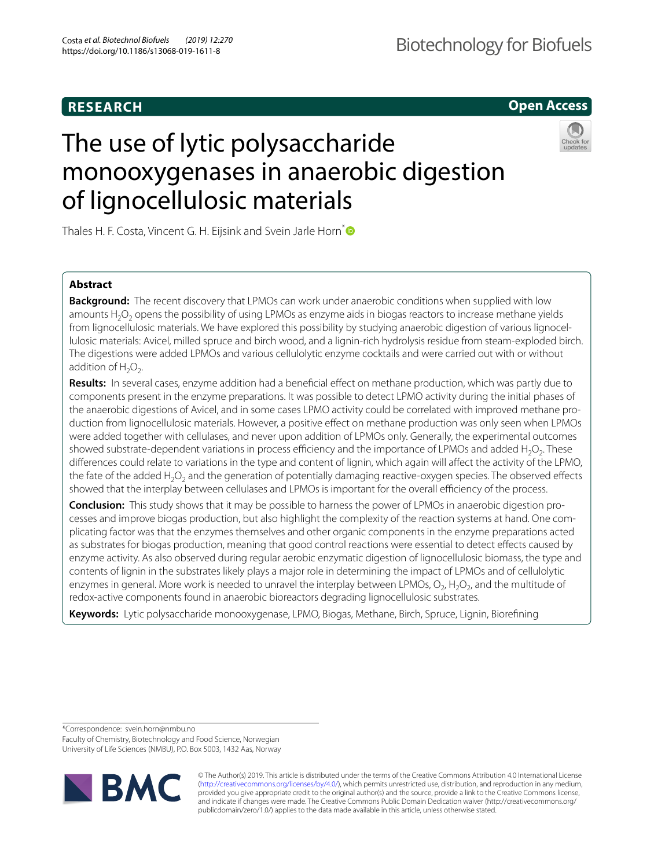## **RESEARCH**

**Open Access**

# The use of lytic polysaccharide monooxygenases in anaerobic digestion of lignocellulosic materials



Thales H. F. Costa, Vincent G. H. Eijsink and Svein Jarle Horn<sup>[\\*](http://orcid.org/0000-0002-1590-9001)</sup>

## **Abstract**

**Background:** The recent discovery that LPMOs can work under anaerobic conditions when supplied with low amounts H<sub>2</sub>O<sub>2</sub> opens the possibility of using LPMOs as enzyme aids in biogas reactors to increase methane yields from lignocellulosic materials. We have explored this possibility by studying anaerobic digestion of various lignocellulosic materials: Avicel, milled spruce and birch wood, and a lignin-rich hydrolysis residue from steam-exploded birch. The digestions were added LPMOs and various cellulolytic enzyme cocktails and were carried out with or without addition of  $H_2O_2$ .

**Results:** In several cases, enzyme addition had a benefcial efect on methane production, which was partly due to components present in the enzyme preparations. It was possible to detect LPMO activity during the initial phases of the anaerobic digestions of Avicel, and in some cases LPMO activity could be correlated with improved methane production from lignocellulosic materials. However, a positive efect on methane production was only seen when LPMOs were added together with cellulases, and never upon addition of LPMOs only. Generally, the experimental outcomes showed substrate-dependent variations in process efficiency and the importance of LPMOs and added H<sub>2</sub>O<sub>2</sub>. These diferences could relate to variations in the type and content of lignin, which again will afect the activity of the LPMO, the fate of the added H<sub>2</sub>O<sub>2</sub> and the generation of potentially damaging reactive-oxygen species. The observed effects showed that the interplay between cellulases and LPMOs is important for the overall efficiency of the process.

**Conclusion:** This study shows that it may be possible to harness the power of LPMOs in anaerobic digestion processes and improve biogas production, but also highlight the complexity of the reaction systems at hand. One complicating factor was that the enzymes themselves and other organic components in the enzyme preparations acted as substrates for biogas production, meaning that good control reactions were essential to detect efects caused by enzyme activity. As also observed during regular aerobic enzymatic digestion of lignocellulosic biomass, the type and contents of lignin in the substrates likely plays a major role in determining the impact of LPMOs and of cellulolytic enzymes in general. More work is needed to unravel the interplay between LPMOs,  $O_2$ , H<sub>2</sub>O<sub>2</sub>, and the multitude of redox-active components found in anaerobic bioreactors degrading lignocellulosic substrates.

**Keywords:** Lytic polysaccharide monooxygenase, LPMO, Biogas, Methane, Birch, Spruce, Lignin, Biorefning

\*Correspondence: svein.horn@nmbu.no Faculty of Chemistry, Biotechnology and Food Science, Norwegian University of Life Sciences (NMBU), P.O. Box 5003, 1432 Aas, Norway



© The Author(s) 2019. This article is distributed under the terms of the Creative Commons Attribution 4.0 International License [\(http://creativecommons.org/licenses/by/4.0/\)](http://creativecommons.org/licenses/by/4.0/), which permits unrestricted use, distribution, and reproduction in any medium, provided you give appropriate credit to the original author(s) and the source, provide a link to the Creative Commons license, and indicate if changes were made. The Creative Commons Public Domain Dedication waiver (http://creativecommons.org/ publicdomain/zero/1.0/) applies to the data made available in this article, unless otherwise stated.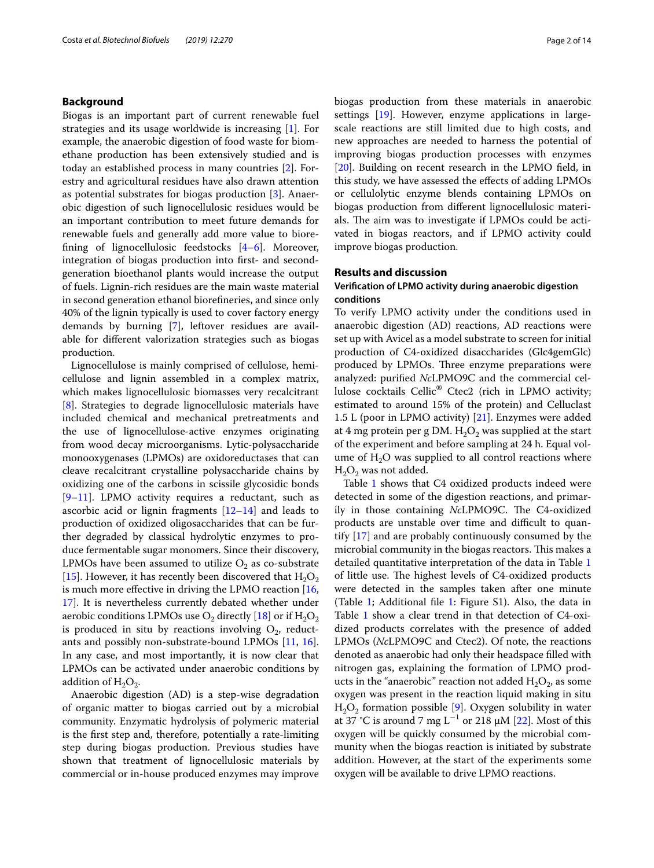#### **Background**

Biogas is an important part of current renewable fuel strategies and its usage worldwide is increasing [[1\]](#page-12-0). For example, the anaerobic digestion of food waste for biomethane production has been extensively studied and is today an established process in many countries [[2\]](#page-12-1). Forestry and agricultural residues have also drawn attention as potential substrates for biogas production [[3\]](#page-12-2). Anaerobic digestion of such lignocellulosic residues would be an important contribution to meet future demands for renewable fuels and generally add more value to biorefning of lignocellulosic feedstocks [[4](#page-12-3)[–6](#page-12-4)]. Moreover, integration of biogas production into frst- and secondgeneration bioethanol plants would increase the output of fuels. Lignin-rich residues are the main waste material in second generation ethanol biorefneries, and since only 40% of the lignin typically is used to cover factory energy demands by burning [[7\]](#page-12-5), leftover residues are available for diferent valorization strategies such as biogas production.

Lignocellulose is mainly comprised of cellulose, hemicellulose and lignin assembled in a complex matrix, which makes lignocellulosic biomasses very recalcitrant [[8\]](#page-12-6). Strategies to degrade lignocellulosic materials have included chemical and mechanical pretreatments and the use of lignocellulose-active enzymes originating from wood decay microorganisms. Lytic-polysaccharide monooxygenases (LPMOs) are oxidoreductases that can cleave recalcitrant crystalline polysaccharide chains by oxidizing one of the carbons in scissile glycosidic bonds [[9–](#page-12-7)[11\]](#page-12-8). LPMO activity requires a reductant, such as ascorbic acid or lignin fragments [\[12–](#page-12-9)[14\]](#page-12-10) and leads to production of oxidized oligosaccharides that can be further degraded by classical hydrolytic enzymes to produce fermentable sugar monomers. Since their discovery, LPMOs have been assumed to utilize  $O_2$  as co-substrate [[15\]](#page-12-11). However, it has recently been discovered that  $H_2O_2$ is much more efective in driving the LPMO reaction [\[16](#page-12-12), [17\]](#page-12-13). It is nevertheless currently debated whether under aerobic conditions LPMOs use  $O_2$  directly [\[18\]](#page-12-14) or if  $H_2O_2$ is produced in situ by reactions involving  $O_2$ , reductants and possibly non-substrate-bound LPMOs [\[11,](#page-12-8) [16](#page-12-12)]. In any case, and most importantly, it is now clear that LPMOs can be activated under anaerobic conditions by addition of  $H_2O_2$ .

Anaerobic digestion (AD) is a step-wise degradation of organic matter to biogas carried out by a microbial community. Enzymatic hydrolysis of polymeric material is the frst step and, therefore, potentially a rate-limiting step during biogas production. Previous studies have shown that treatment of lignocellulosic materials by commercial or in-house produced enzymes may improve biogas production from these materials in anaerobic settings [[19\]](#page-12-15). However, enzyme applications in largescale reactions are still limited due to high costs, and new approaches are needed to harness the potential of improving biogas production processes with enzymes [[20\]](#page-12-16). Building on recent research in the LPMO feld, in this study, we have assessed the efects of adding LPMOs or cellulolytic enzyme blends containing LPMOs on biogas production from diferent lignocellulosic materials. The aim was to investigate if LPMOs could be activated in biogas reactors, and if LPMO activity could improve biogas production.

#### **Results and discussion**

## **Verifcation of LPMO activity during anaerobic digestion conditions**

To verify LPMO activity under the conditions used in anaerobic digestion (AD) reactions, AD reactions were set up with Avicel as a model substrate to screen for initial production of C4-oxidized disaccharides (Glc4gemGlc) produced by LPMOs. Three enzyme preparations were analyzed: purifed *Nc*LPMO9C and the commercial cellulose cocktails Cellic® Ctec2 (rich in LPMO activity; estimated to around 15% of the protein) and Celluclast 1.5 L (poor in LPMO activity) [[21\]](#page-12-17). Enzymes were added at 4 mg protein per g DM.  $H_2O_2$  was supplied at the start of the experiment and before sampling at 24 h. Equal volume of  $H_2O$  was supplied to all control reactions where  $H_2O_2$  was not added.

Table [1](#page-2-0) shows that C4 oxidized products indeed were detected in some of the digestion reactions, and primarily in those containing *NcLPMO9C*. The C4-oxidized products are unstable over time and difficult to quantify [\[17](#page-12-13)] and are probably continuously consumed by the microbial community in the biogas reactors. This makes a detailed quantitative interpretation of the data in Table [1](#page-2-0) of little use. The highest levels of C4-oxidized products were detected in the samples taken after one minute (Table [1;](#page-2-0) Additional fle [1](#page-11-0): Figure S1). Also, the data in Table [1](#page-2-0) show a clear trend in that detection of C4-oxidized products correlates with the presence of added LPMOs (*Nc*LPMO9C and Ctec2). Of note, the reactions denoted as anaerobic had only their headspace flled with nitrogen gas, explaining the formation of LPMO products in the "anaerobic" reaction not added  $H_2O_2$ , as some oxygen was present in the reaction liquid making in situ  $H_2O_2$  formation possible [\[9](#page-12-7)]. Oxygen solubility in water at 37 °C is around 7 mg L<sup>-1</sup> or 218 µM [[22\]](#page-12-18). Most of this oxygen will be quickly consumed by the microbial community when the biogas reaction is initiated by substrate addition. However, at the start of the experiments some oxygen will be available to drive LPMO reactions.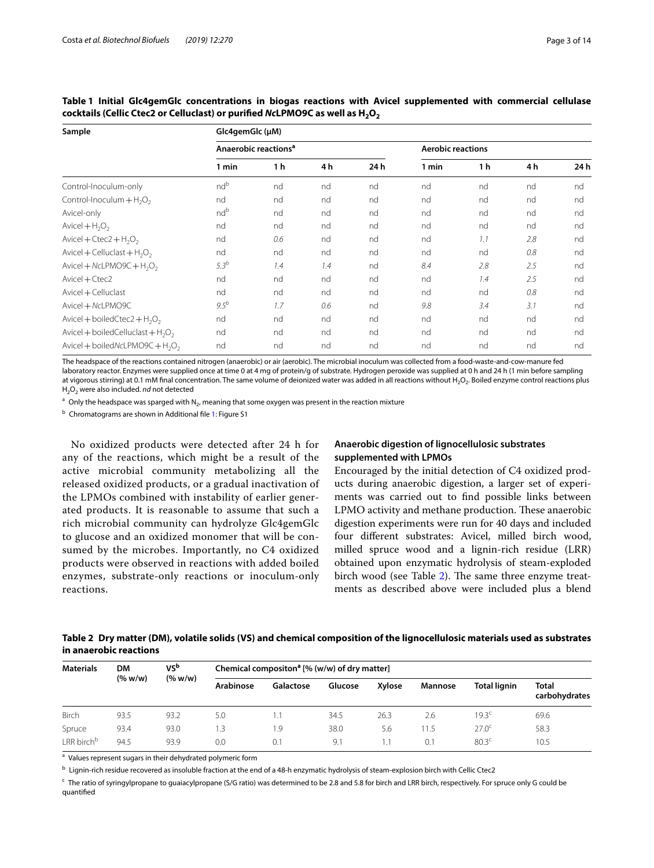| Sample                               | Glc4gemGlc (µM)                  |                |                |     |                          |                |                |     |  |  |
|--------------------------------------|----------------------------------|----------------|----------------|-----|--------------------------|----------------|----------------|-----|--|--|
|                                      | Anaerobic reactions <sup>a</sup> |                |                |     | <b>Aerobic reactions</b> |                |                |     |  |  |
|                                      | 1 min                            | 1 <sub>h</sub> | 4 <sub>h</sub> | 24h | 1 min                    | 1 <sub>h</sub> | 4 <sub>h</sub> | 24h |  |  |
| Control-Inoculum-only                | ndb                              | nd             | nd             | nd  | nd                       | nd             | nd             | nd  |  |  |
| Control-Inoculum $+H_2O_2$           | nd                               | nd             | nd             | nd  | nd                       | nd             | nd             | nd  |  |  |
| Avicel-only                          | nd <sup>b</sup>                  | nd             | nd             | nd  | nd                       | nd             | nd             | nd  |  |  |
| Avicel $+H_2O_2$                     | nd                               | nd             | nd             | nd  | nd                       | nd             | nd             | nd  |  |  |
| Avicel + Ctec2 + $H_2O_2$            | nd                               | 0.6            | nd             | nd  | nd                       | 1.1            | 2.8            | nd  |  |  |
| Avicel + Celluclast + $H_2O_2$       | nd                               | nd             | nd             | nd  | nd                       | nd             | 0.8            | nd  |  |  |
| Avicel + NcLPMO9C + $H_2O_2$         | $5.3^{b}$                        | 1.4            | 1.4            | nd  | 8.4                      | 2.8            | 2.5            | nd  |  |  |
| Avicel + Ctec2                       | nd                               | nd             | nd             | nd  | nd                       | 1.4            | 2.5            | nd  |  |  |
| Avicel + Celluclast                  | nd                               | nd             | nd             | nd  | nd                       | nd             | 0.8            | nd  |  |  |
| Avicel + NcLPMO9C                    | 9.5 <sup>b</sup>                 | 1.7            | 0.6            | nd  | 9.8                      | 3.4            | 3.1            | nd  |  |  |
| Avicel + boiledCtec2 + $H_2O_2$      | nd                               | nd             | nd             | nd  | nd                       | nd             | nd             | nd  |  |  |
| Avicel + boiledCelluclast + $H_2O_2$ | nd                               | nd             | nd             | nd  | nd                       | nd             | nd             | nd  |  |  |
| Avicel + boiled NcLPMO9C + $H_2O_2$  | nd                               | nd             | nd             | nd  | nd                       | nd             | nd             | nd  |  |  |

<span id="page-2-0"></span>**Table 1 Initial Glc4gemGlc concentrations in biogas reactions with Avicel supplemented with commercial cellulase**  cocktails (Cellic Ctec2 or Celluclast) or purified *NcLPMO9C* as well as H<sub>2</sub>O<sub>2</sub>

The headspace of the reactions contained nitrogen (anaerobic) or air (aerobic). The microbial inoculum was collected from a food-waste-and-cow-manure fed laboratory reactor. Enzymes were supplied once at time 0 at 4 mg of protein/g of substrate. Hydrogen peroxide was supplied at 0 h and 24 h (1 min before sampling at vigorous stirring) at 0.1 mM final concentration. The same volume of deionized water was added in all reactions without H<sub>2</sub>O<sub>2</sub>. Boiled enzyme control reactions plus H2O2 were also included. *nd* not detected

<sup>a</sup> Only the headspace was sparged with N<sub>2</sub>, meaning that some oxygen was present in the reaction mixture

b Chromatograms are shown in Additional file [1](#page-11-0): Figure S1

No oxidized products were detected after 24 h for any of the reactions, which might be a result of the active microbial community metabolizing all the released oxidized products, or a gradual inactivation of the LPMOs combined with instability of earlier generated products. It is reasonable to assume that such a rich microbial community can hydrolyze Glc4gemGlc to glucose and an oxidized monomer that will be consumed by the microbes. Importantly, no C4 oxidized products were observed in reactions with added boiled enzymes, substrate-only reactions or inoculum-only reactions.

### **Anaerobic digestion of lignocellulosic substrates supplemented with LPMOs**

Encouraged by the initial detection of C4 oxidized products during anaerobic digestion, a larger set of experiments was carried out to fnd possible links between LPMO activity and methane production. These anaerobic digestion experiments were run for 40 days and included four diferent substrates: Avicel, milled birch wood, milled spruce wood and a lignin-rich residue (LRR) obtained upon enzymatic hydrolysis of steam-exploded birch wood (see Table [2](#page-2-1)). The same three enzyme treatments as described above were included plus a blend

<span id="page-2-1"></span>**Table 2 Dry matter (DM), volatile solids (VS) and chemical composition of the lignocellulosic materials used as substrates in anaerobic reactions**

| <b>Materials</b>       | <b>DM</b><br>(% w/w) | VSb<br>(% w/w) | Chemical compositon <sup>a</sup> [% (w/w) of dry matter] |           |         |        |         |                     |                               |  |
|------------------------|----------------------|----------------|----------------------------------------------------------|-----------|---------|--------|---------|---------------------|-------------------------------|--|
|                        |                      |                | Arabinose                                                | Galactose | Glucose | Xvlose | Mannose | <b>Total lignin</b> | <b>Total</b><br>carbohydrates |  |
| <b>Birch</b>           | 93.5                 | 93.2           | 5.0                                                      | IJ        | 34.5    | 26.3   | 2.6     | 19.3 <sup>c</sup>   | 69.6                          |  |
| Spruce                 | 93.4                 | 93.0           | .3                                                       | l.9       | 38.0    | 5.6    | 11.5    | 27.0 <sup>c</sup>   | 58.3                          |  |
| LRR birch <sup>b</sup> | 94.5                 | 93.9           | 0.0                                                      | 0.1       | 9.1     |        | 0.1     | $80.3^{\circ}$      | 10.5                          |  |

<sup>a</sup> Values represent sugars in their dehydrated polymeric form

 $<sup>b</sup>$  Lignin-rich residue recovered as insoluble fraction at the end of a 48-h enzymatic hydrolysis of steam-explosion birch with Cellic Ctec2</sup>

<sup>c</sup> The ratio of syringylpropane to guaiacylpropane (S/G ratio) was determined to be 2.8 and 5.8 for birch and LRR birch, respectively. For spruce only G could be quantifed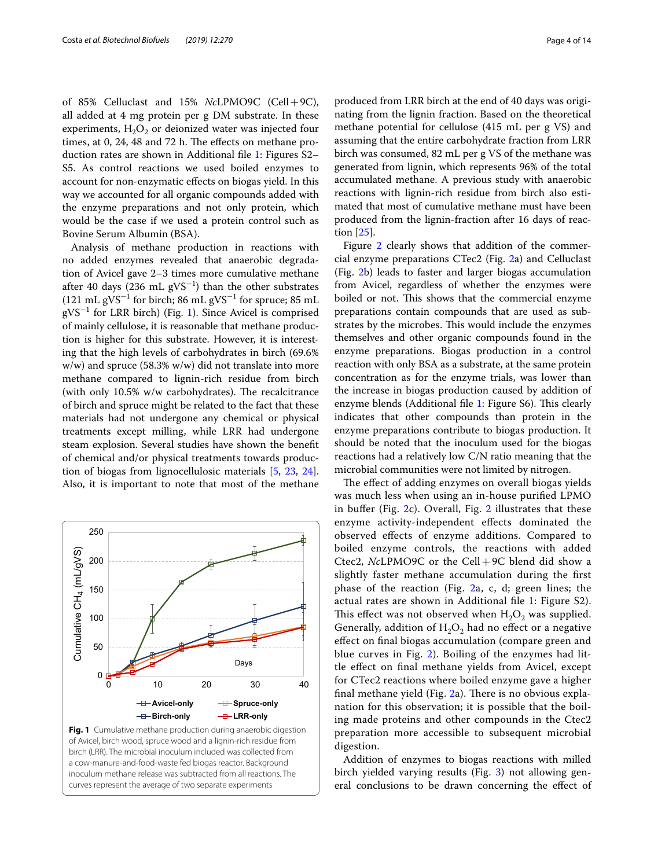of 85% Celluclast and 15% *Nc*LPMO9C (Cell+9C), all added at 4 mg protein per g DM substrate. In these experiments,  $H_2O_2$  or deionized water was injected four times, at 0, 24, 48 and 72 h. The effects on methane production rates are shown in Additional fle [1:](#page-11-0) Figures S2– S5. As control reactions we used boiled enzymes to account for non-enzymatic efects on biogas yield. In this way we accounted for all organic compounds added with the enzyme preparations and not only protein, which would be the case if we used a protein control such as Bovine Serum Albumin (BSA).

Analysis of methane production in reactions with no added enzymes revealed that anaerobic degradation of Avicel gave 2–3 times more cumulative methane after 40 days (236 mL  $gVS^{-1}$ ) than the other substrates (121 mL gVS<sup>-1</sup> for birch; 86 mL gVS<sup>-1</sup> for spruce; 85 mL gVS−<sup>1</sup> for LRR birch) (Fig. [1](#page-3-0)). Since Avicel is comprised of mainly cellulose, it is reasonable that methane production is higher for this substrate. However, it is interesting that the high levels of carbohydrates in birch (69.6% w/w) and spruce (58.3% w/w) did not translate into more methane compared to lignin-rich residue from birch (with only  $10.5\%$  w/w carbohydrates). The recalcitrance of birch and spruce might be related to the fact that these materials had not undergone any chemical or physical treatments except milling, while LRR had undergone steam explosion. Several studies have shown the beneft of chemical and/or physical treatments towards production of biogas from lignocellulosic materials [[5,](#page-12-19) [23](#page-12-20), [24](#page-12-21)]. Also, it is important to note that most of the methane

<span id="page-3-0"></span>

produced from LRR birch at the end of 40 days was originating from the lignin fraction. Based on the theoretical methane potential for cellulose (415 mL per g VS) and assuming that the entire carbohydrate fraction from LRR birch was consumed, 82 mL per g VS of the methane was generated from lignin, which represents 96% of the total accumulated methane. A previous study with anaerobic reactions with lignin-rich residue from birch also estimated that most of cumulative methane must have been produced from the lignin-fraction after 16 days of reaction [[25\]](#page-12-22).

Figure [2](#page-4-0) clearly shows that addition of the commercial enzyme preparations CTec2 (Fig. [2a](#page-4-0)) and Celluclast (Fig. [2](#page-4-0)b) leads to faster and larger biogas accumulation from Avicel, regardless of whether the enzymes were boiled or not. This shows that the commercial enzyme preparations contain compounds that are used as substrates by the microbes. This would include the enzymes themselves and other organic compounds found in the enzyme preparations. Biogas production in a control reaction with only BSA as a substrate, at the same protein concentration as for the enzyme trials, was lower than the increase in biogas production caused by addition of enzyme blends (Additional file [1](#page-11-0): Figure  $S_6$ ). This clearly indicates that other compounds than protein in the enzyme preparations contribute to biogas production. It should be noted that the inoculum used for the biogas reactions had a relatively low C/N ratio meaning that the microbial communities were not limited by nitrogen.

The effect of adding enzymes on overall biogas yields was much less when using an in-house purifed LPMO in buffer (Fig.  $2c$ ). Overall, Fig.  $2$  illustrates that these enzyme activity-independent efects dominated the observed efects of enzyme additions. Compared to boiled enzyme controls, the reactions with added Ctec2, *NcLPMO9C* or the Cell + 9C blend did show a slightly faster methane accumulation during the frst phase of the reaction (Fig. [2](#page-4-0)a, c, d; green lines; the actual rates are shown in Additional fle [1:](#page-11-0) Figure S2). This effect was not observed when  $H_2O_2$  was supplied. Generally, addition of  $H_2O_2$  had no effect or a negative efect on fnal biogas accumulation (compare green and blue curves in Fig. [2](#page-4-0)). Boiling of the enzymes had little efect on fnal methane yields from Avicel, except for CTec2 reactions where boiled enzyme gave a higher final methane yield (Fig. [2a](#page-4-0)). There is no obvious explanation for this observation; it is possible that the boiling made proteins and other compounds in the Ctec2 preparation more accessible to subsequent microbial digestion.

Addition of enzymes to biogas reactions with milled birch yielded varying results (Fig. [3](#page-5-0)) not allowing general conclusions to be drawn concerning the efect of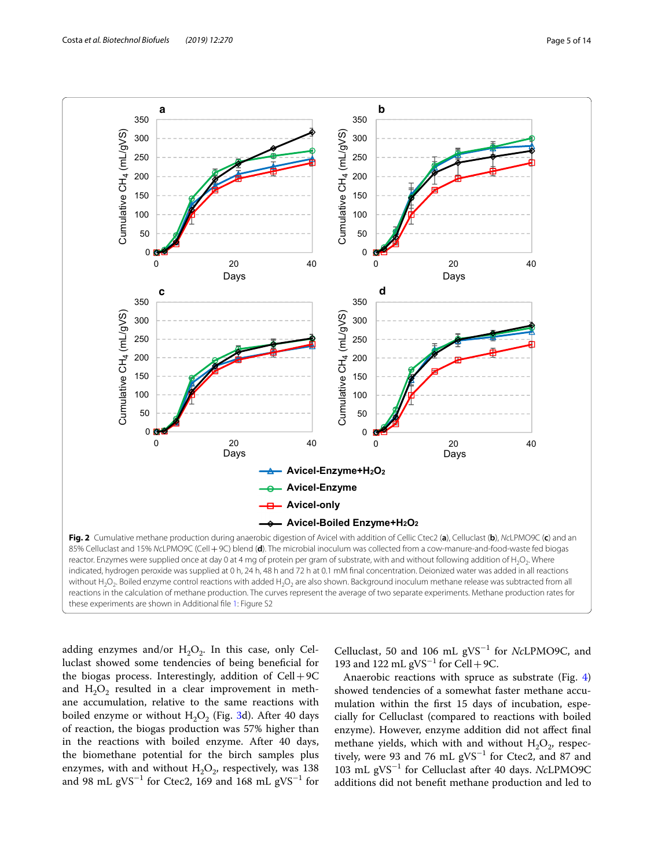

<span id="page-4-0"></span>without H<sub>2</sub>O<sub>2</sub>. Boiled enzyme control reactions with added H<sub>2</sub>O<sub>2</sub> are also shown. Background inoculum methane release was subtracted from all reactions in the calculation of methane production. The curves represent the average of two separate experiments. Methane production rates for these experiments are shown in Additional fle [1](#page-11-0): Figure S2

adding enzymes and/or  $H_2O_2$ . In this case, only Celluclast showed some tendencies of being benefcial for the biogas process. Interestingly, addition of  $Cell + 9C$ and  $H_2O_2$  resulted in a clear improvement in methane accumulation, relative to the same reactions with boiled enzyme or without  $H_2O_2$  (Fig. [3](#page-5-0)d). After 40 days of reaction, the biogas production was 57% higher than in the reactions with boiled enzyme. After 40 days, the biomethane potential for the birch samples plus enzymes, with and without  $H_2O_2$ , respectively, was 138 and 98 mL  $gVS^{-1}$  for Ctec2, 169 and 168 mL  $gVS^{-1}$  for Celluclast, 50 and 106 mL gVS<sup>−</sup><sup>1</sup> for *Nc*LPMO9C, and 193 and 122 mL  $gVS^{-1}$  for Cell + 9C.

Anaerobic reactions with spruce as substrate (Fig. [4](#page-6-0)) showed tendencies of a somewhat faster methane accumulation within the frst 15 days of incubation, especially for Celluclast (compared to reactions with boiled enzyme). However, enzyme addition did not afect fnal methane yields, which with and without  $H_2O_2$ , respectively, were 93 and 76 mL  $gVS^{-1}$  for Ctec2, and 87 and 103 mL gVS<sup>−</sup><sup>1</sup> for Celluclast after 40 days. *Nc*LPMO9C additions did not beneft methane production and led to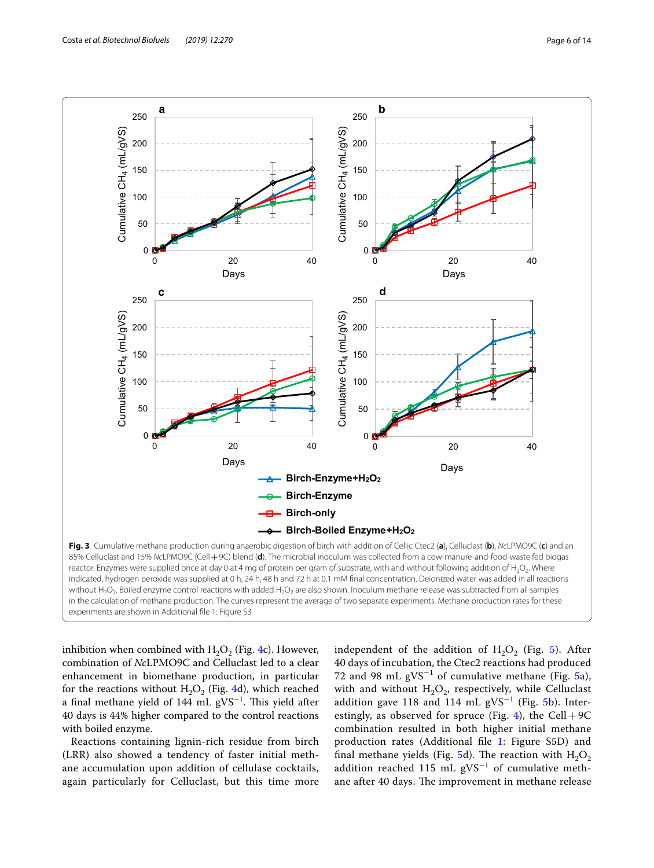

<span id="page-5-0"></span>without H<sub>2</sub>O<sub>2</sub>. Boiled enzyme control reactions with added H<sub>2</sub>O<sub>2</sub> are also shown. Inoculum methane release was subtracted from all samples in the calculation of methane production. The curves represent the average of two separate experiments. Methane production rates for these experiments are shown in Additional file [1:](#page-11-0) Figure S3

inhibition when combined with  $H_2O_2$  (Fig. [4c](#page-6-0)). However, combination of *Nc*LPMO9C and Celluclast led to a clear enhancement in biomethane production, in particular for the reactions without  $H_2O_2$  (Fig. [4](#page-6-0)d), which reached a final methane yield of 144 mL gVS $^{-1}$ . This yield after 40 days is 44% higher compared to the control reactions with boiled enzyme.

Reactions containing lignin-rich residue from birch (LRR) also showed a tendency of faster initial methane accumulation upon addition of cellulase cocktails, again particularly for Celluclast, but this time more independent of the addition of  $H_2O_2$  (Fig. [5\)](#page-7-0). After 40 days of incubation, the Ctec2 reactions had produced 72 and 98 mL  $gVS^{-1}$  of cumulative methane (Fig. [5](#page-7-0)a), with and without  $H_2O_2$ , respectively, while Celluclast addition gave 118 and 114 mL  $gVS^{-1}$  (Fig. [5b](#page-7-0)). Inter-estingly, as observed for spruce (Fig. [4\)](#page-6-0), the Cell+9C combination resulted in both higher initial methane production rates (Additional file [1](#page-11-0): Figure S5D) and final methane yields (Fig. [5d](#page-7-0)). The reaction with  $H_2O_2$ addition reached 115 mL  $gVS^{-1}$  of cumulative methane after 40 days. The improvement in methane release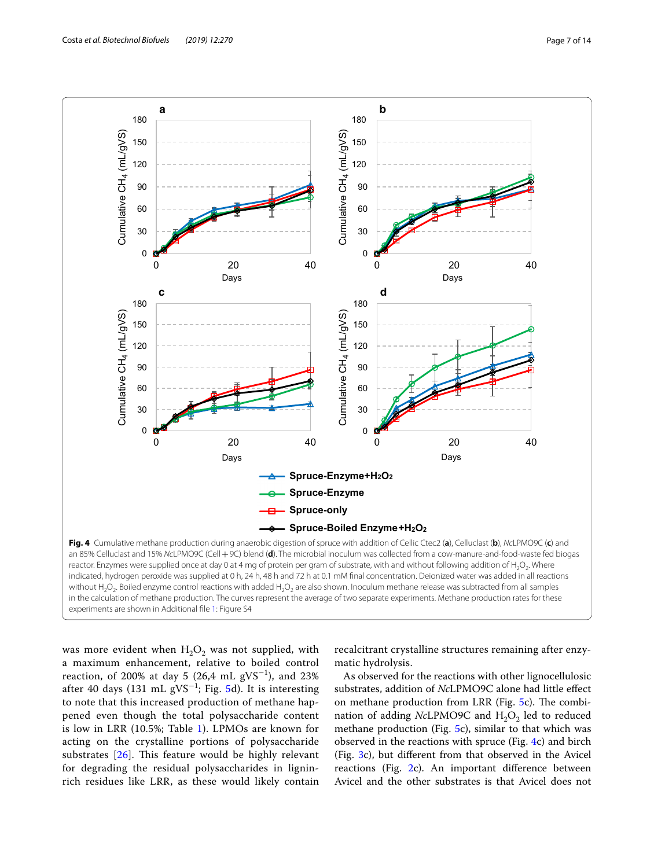

<span id="page-6-0"></span>indicated, hydrogen peroxide was supplied at 0 h, 24 h, 48 h and 72 h at 0.1 mM fnal concentration. Deionized water was added in all reactions without H<sub>2</sub>O<sub>2</sub>. Boiled enzyme control reactions with added H<sub>2</sub>O<sub>2</sub> are also shown. Inoculum methane release was subtracted from all samples in the calculation of methane production. The curves represent the average of two separate experiments. Methane production rates for these experiments are shown in Additional file [1:](#page-11-0) Figure S4

was more evident when  $H_2O_2$  was not supplied, with a maximum enhancement, relative to boiled control reaction, of 200% at day 5 (26,4 mL  $\rm gVS^{-1}$ ), and 23% after 40 days (131 mL  $\rm gVS^{-1}$ ; Fig. [5d](#page-7-0)). It is interesting to note that this increased production of methane happened even though the total polysaccharide content is low in LRR (10.5%; Table [1](#page-2-0)). LPMOs are known for acting on the crystalline portions of polysaccharide substrates  $[26]$  $[26]$ . This feature would be highly relevant for degrading the residual polysaccharides in ligninrich residues like LRR, as these would likely contain

recalcitrant crystalline structures remaining after enzymatic hydrolysis.

As observed for the reactions with other lignocellulosic substrates, addition of *Nc*LPMO9C alone had little efect on methane production from LRR (Fig.  $5c$ ). The combination of adding *NcLPMO9C* and H<sub>2</sub>O<sub>2</sub> led to reduced methane production (Fig. [5](#page-7-0)c), similar to that which was observed in the reactions with spruce (Fig. [4c](#page-6-0)) and birch (Fig. [3](#page-5-0)c), but diferent from that observed in the Avicel reactions (Fig. [2c](#page-4-0)). An important diference between Avicel and the other substrates is that Avicel does not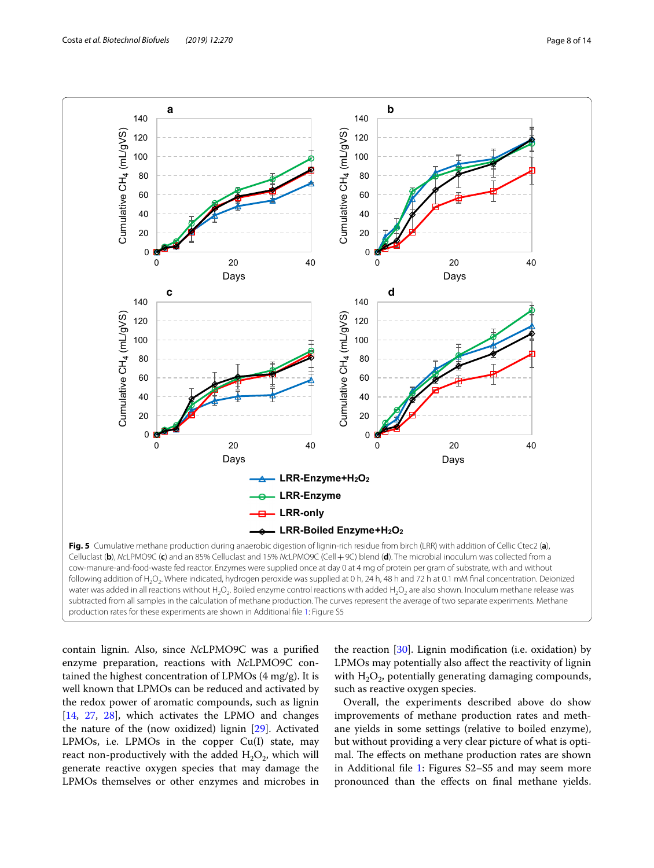

<span id="page-7-0"></span>contain lignin. Also, since *Nc*LPMO9C was a purifed enzyme preparation, reactions with *Nc*LPMO9C contained the highest concentration of LPMOs (4 mg/g). It is well known that LPMOs can be reduced and activated by the redox power of aromatic compounds, such as lignin [[14,](#page-12-10) [27](#page-12-24), [28](#page-12-25)], which activates the LPMO and changes the nature of the (now oxidized) lignin [[29\]](#page-12-26). Activated LPMOs, i.e. LPMOs in the copper Cu(I) state, may react non-productively with the added  $H_2O_2$ , which will generate reactive oxygen species that may damage the LPMOs themselves or other enzymes and microbes in

the reaction  $[30]$  $[30]$ . Lignin modification (i.e. oxidation) by LPMOs may potentially also afect the reactivity of lignin with  $H_2O_2$ , potentially generating damaging compounds, such as reactive oxygen species.

Overall, the experiments described above do show improvements of methane production rates and methane yields in some settings (relative to boiled enzyme), but without providing a very clear picture of what is optimal. The effects on methane production rates are shown in Additional fle [1:](#page-11-0) Figures S2–S5 and may seem more pronounced than the efects on fnal methane yields.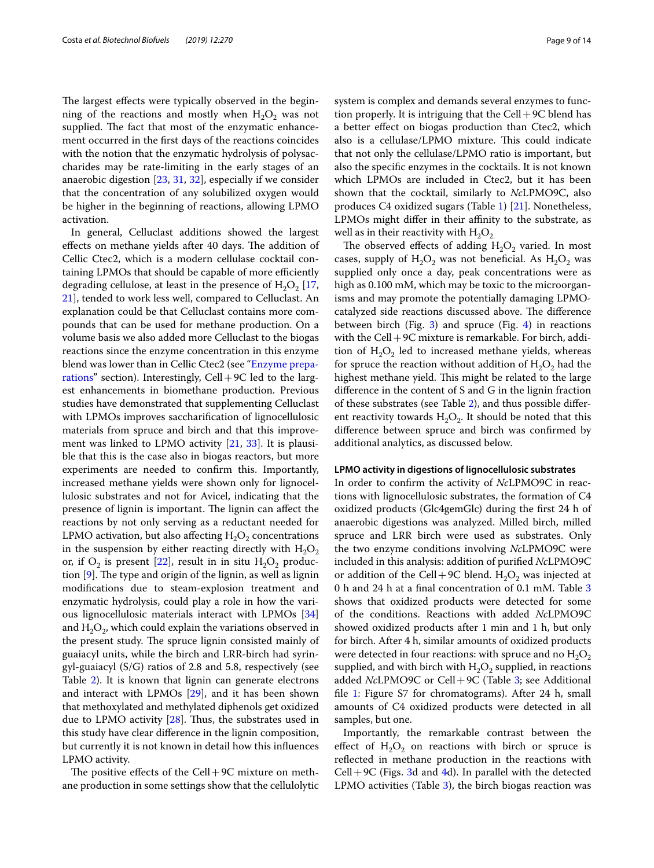The largest effects were typically observed in the beginning of the reactions and mostly when  $H_2O_2$  was not supplied. The fact that most of the enzymatic enhancement occurred in the frst days of the reactions coincides with the notion that the enzymatic hydrolysis of polysaccharides may be rate-limiting in the early stages of an anaerobic digestion [[23,](#page-12-20) [31,](#page-12-28) [32](#page-12-29)], especially if we consider that the concentration of any solubilized oxygen would be higher in the beginning of reactions, allowing LPMO activation.

In general, Celluclast additions showed the largest effects on methane yields after 40 days. The addition of Cellic Ctec2, which is a modern cellulase cocktail containing LPMOs that should be capable of more efficiently degrading cellulose, at least in the presence of  $H_2O_2$  [\[17](#page-12-13), [21\]](#page-12-17), tended to work less well, compared to Celluclast. An explanation could be that Celluclast contains more compounds that can be used for methane production. On a volume basis we also added more Celluclast to the biogas reactions since the enzyme concentration in this enzyme blend was lower than in Cellic Ctec2 (see "[Enzyme prepa](#page-10-0)[rations](#page-10-0)" section). Interestingly, Cell+9C led to the largest enhancements in biomethane production. Previous studies have demonstrated that supplementing Celluclast with LPMOs improves saccharifcation of lignocellulosic materials from spruce and birch and that this improvement was linked to LPMO activity [[21,](#page-12-17) [33](#page-12-30)]. It is plausible that this is the case also in biogas reactors, but more experiments are needed to confrm this. Importantly, increased methane yields were shown only for lignocellulosic substrates and not for Avicel, indicating that the presence of lignin is important. The lignin can affect the reactions by not only serving as a reductant needed for LPMO activation, but also affecting  $H_2O_2$  concentrations in the suspension by either reacting directly with  $H_2O_2$ or, if  $O_2$  is present [\[22\]](#page-12-18), result in in situ  $H_2O_2$  production  $[9]$  $[9]$ . The type and origin of the lignin, as well as lignin modifcations due to steam-explosion treatment and enzymatic hydrolysis, could play a role in how the various lignocellulosic materials interact with LPMOs [[34](#page-13-0)] and  $H_2O_2$ , which could explain the variations observed in the present study. The spruce lignin consisted mainly of guaiacyl units, while the birch and LRR-birch had syringyl-guaiacyl (S/G) ratios of 2.8 and 5.8, respectively (see Table [2\)](#page-2-1). It is known that lignin can generate electrons and interact with LPMOs [\[29](#page-12-26)], and it has been shown that methoxylated and methylated diphenols get oxidized due to LPMO activity  $[28]$  $[28]$  $[28]$ . Thus, the substrates used in this study have clear diference in the lignin composition, but currently it is not known in detail how this infuences LPMO activity.

The positive effects of the Cell+9C mixture on methane production in some settings show that the cellulolytic system is complex and demands several enzymes to function properly. It is intriguing that the Cell $+9C$  blend has a better efect on biogas production than Ctec2, which also is a cellulase/LPMO mixture. This could indicate that not only the cellulase/LPMO ratio is important, but also the specifc enzymes in the cocktails. It is not known which LPMOs are included in Ctec2, but it has been shown that the cocktail, similarly to *Nc*LPMO9C, also produces C4 oxidized sugars (Table [1\)](#page-2-0) [[21\]](#page-12-17). Nonetheless, LPMOs might differ in their affinity to the substrate, as well as in their reactivity with  $H_2O_2$ .

The observed effects of adding  $H_2O_2$  varied. In most cases, supply of  $H_2O_2$  was not beneficial. As  $H_2O_2$  was supplied only once a day, peak concentrations were as high as 0.100 mM, which may be toxic to the microorganisms and may promote the potentially damaging LPMOcatalyzed side reactions discussed above. The difference between birch (Fig.  $3$ ) and spruce (Fig.  $4$ ) in reactions with the Cell  $+9C$  mixture is remarkable. For birch, addition of  $H_2O_2$  led to increased methane yields, whereas for spruce the reaction without addition of  $H_2O_2$  had the highest methane yield. This might be related to the large diference in the content of S and G in the lignin fraction of these substrates (see Table [2\)](#page-2-1), and thus possible diferent reactivity towards  $H_2O_2$ . It should be noted that this diference between spruce and birch was confrmed by additional analytics, as discussed below.

#### **LPMO activity in digestions of lignocellulosic substrates**

In order to confrm the activity of *Nc*LPMO9C in reactions with lignocellulosic substrates, the formation of C4 oxidized products (Glc4gemGlc) during the frst 24 h of anaerobic digestions was analyzed. Milled birch, milled spruce and LRR birch were used as substrates. Only the two enzyme conditions involving *Nc*LPMO9C were included in this analysis: addition of purifed *Nc*LPMO9C or addition of the Cell+9C blend.  $H_2O_2$  was injected at 0 h and 24 h at a fnal concentration of 0.1 mM. Table [3](#page-9-0) shows that oxidized products were detected for some of the conditions. Reactions with added *Nc*LPMO9C showed oxidized products after 1 min and 1 h, but only for birch. After 4 h, similar amounts of oxidized products were detected in four reactions: with spruce and no  $H_2O_2$ supplied, and with birch with  $H_2O_2$  supplied, in reactions added *Nc*LPMO9C or Cell+9C (Table [3;](#page-9-0) see Additional fle [1](#page-11-0): Figure S7 for chromatograms). After 24 h, small amounts of C4 oxidized products were detected in all samples, but one.

Importantly, the remarkable contrast between the effect of  $H_2O_2$  on reactions with birch or spruce is reflected in methane production in the reactions with  $Cell+9C$  (Figs. [3d](#page-5-0) and [4](#page-6-0)d). In parallel with the detected LPMO activities (Table [3\)](#page-9-0), the birch biogas reaction was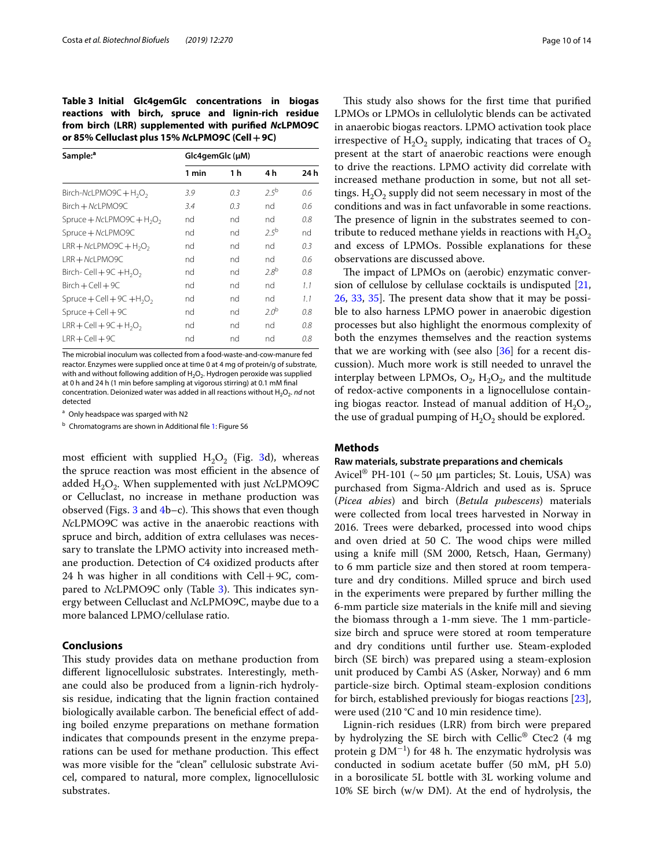<span id="page-9-0"></span>**Table 3 Initial Glc4gemGlc concentrations in biogas reactions with birch, spruce and lignin-rich residue from birch (LRR) supplemented with purifed** *Nc***LPMO9C or 85% Celluclast plus 15%** *Nc***LPMO9C (Cell+9C)**

| Sample: <sup>a</sup>                               | Glc4gemGlc (µM) |     |                  |      |  |  |  |
|----------------------------------------------------|-----------------|-----|------------------|------|--|--|--|
|                                                    | 1 min           | 1 h | 4 h              | 24 h |  |  |  |
| Birch-NcLPMO9C + $H_2O_2$                          | 3.9             | 0.3 | $2.5^{b}$        | 0.6  |  |  |  |
| Birch + NcLPMO9C                                   | 3.4             | 0.3 | nd               | 0.6  |  |  |  |
| Spruce + $NcLPMO9C + H_2O_2$                       | nd              | nd  | nd               | 0.8  |  |  |  |
| Spruce + NcLPMO9C                                  | nd              | nd  | $2.5^{b}$        | nd   |  |  |  |
| $LRR + NCLPMO9C + H_2O_2$                          | nd              | nd  | nd               | 0.3  |  |  |  |
| $LRR + NCLPMO9C$                                   | nd              | nd  | nd               | 0.6  |  |  |  |
| Birch-Cell + 9C + H <sub>2</sub> O <sub>2</sub>    | nd              | nd  | 2.8 <sup>b</sup> | 0.8  |  |  |  |
| $Birch + Cell + 9C$                                | nd              | nd  | nd               | 1.1  |  |  |  |
| Spruce + Cell + 9C + H <sub>2</sub> O <sub>2</sub> | nd              | nd  | nd               | 1.1  |  |  |  |
| $Spruce + Cell + 9C$                               | nd              | nd  | 2.0 <sup>b</sup> | 0.8  |  |  |  |
| $LRR + Cell + 9C + H2O2$                           | nd              | nd  | nd               | 0.8  |  |  |  |
| $LRR + Cell + 9C$                                  | nd              | nd  | nd               | 0.8  |  |  |  |

The microbial inoculum was collected from a food-waste-and-cow-manure fed reactor. Enzymes were supplied once at time 0 at 4 mg of protein/g of substrate, with and without following addition of  $H_2O_2$ . Hydrogen peroxide was supplied at 0 h and 24 h (1 min before sampling at vigorous stirring) at 0.1 mM fnal concentration. Deionized water was added in all reactions without H<sub>2</sub>O<sub>2</sub>. *nd* not detected

<sup>a</sup> Only headspace was sparged with N2

b Chromatograms are shown in Additional file [1](#page-11-0): Figure S6

most efficient with supplied  $H_2O_2$  (Fig. [3d](#page-5-0)), whereas the spruce reaction was most efficient in the absence of added H<sub>2</sub>O<sub>2</sub>. When supplemented with just *NcLPMO9C* or Celluclast, no increase in methane production was observed (Figs.  $3$  and  $4b-c$  $4b-c$ ). This shows that even though *Nc*LPMO9C was active in the anaerobic reactions with spruce and birch, addition of extra cellulases was necessary to translate the LPMO activity into increased methane production. Detection of C4 oxidized products after 24 h was higher in all conditions with  $Cell+9C$ , compared to *NcLPMO9C* only (Table [3\)](#page-9-0). This indicates synergy between Celluclast and *Nc*LPMO9C, maybe due to a more balanced LPMO/cellulase ratio.

#### **Conclusions**

This study provides data on methane production from diferent lignocellulosic substrates. Interestingly, methane could also be produced from a lignin-rich hydrolysis residue, indicating that the lignin fraction contained biologically available carbon. The beneficial effect of adding boiled enzyme preparations on methane formation indicates that compounds present in the enzyme preparations can be used for methane production. This effect was more visible for the "clean" cellulosic substrate Avicel, compared to natural, more complex, lignocellulosic substrates.

This study also shows for the first time that purified LPMOs or LPMOs in cellulolytic blends can be activated in anaerobic biogas reactors. LPMO activation took place irrespective of H<sub>2</sub>O<sub>2</sub> supply, indicating that traces of  $O<sub>2</sub>$ present at the start of anaerobic reactions were enough to drive the reactions. LPMO activity did correlate with increased methane production in some, but not all settings.  $H_2O_2$  supply did not seem necessary in most of the conditions and was in fact unfavorable in some reactions. The presence of lignin in the substrates seemed to contribute to reduced methane yields in reactions with  $H_2O_2$ and excess of LPMOs. Possible explanations for these observations are discussed above.

The impact of LPMOs on (aerobic) enzymatic conversion of cellulose by cellulase cocktails is undisputed [[21](#page-12-17), [26,](#page-12-23) [33,](#page-12-30) [35](#page-13-1)]. The present data show that it may be possible to also harness LPMO power in anaerobic digestion processes but also highlight the enormous complexity of both the enzymes themselves and the reaction systems that we are working with (see also [[36\]](#page-13-2) for a recent discussion). Much more work is still needed to unravel the interplay between LPMOs,  $O_2$ ,  $H_2O_2$ , and the multitude of redox-active components in a lignocellulose containing biogas reactor. Instead of manual addition of  $H_2O_2$ , the use of gradual pumping of  $H_2O_2$  should be explored.

#### **Methods**

#### **Raw materials, substrate preparations and chemicals**

Avicel<sup>®</sup> PH-101 (~50 μm particles; St. Louis, USA) was purchased from Sigma-Aldrich and used as is. Spruce (*Picea abies*) and birch (*Betula pubescens*) materials were collected from local trees harvested in Norway in 2016. Trees were debarked, processed into wood chips and oven dried at 50 C. The wood chips were milled using a knife mill (SM 2000, Retsch, Haan, Germany) to 6 mm particle size and then stored at room temperature and dry conditions. Milled spruce and birch used in the experiments were prepared by further milling the 6-mm particle size materials in the knife mill and sieving the biomass through a 1-mm sieve. The 1 mm-particlesize birch and spruce were stored at room temperature and dry conditions until further use. Steam-exploded birch (SE birch) was prepared using a steam-explosion unit produced by Cambi AS (Asker, Norway) and 6 mm particle-size birch. Optimal steam-explosion conditions for birch, established previously for biogas reactions [\[23](#page-12-20)], were used (210 °C and 10 min residence time).

Lignin-rich residues (LRR) from birch were prepared by hydrolyzing the SE birch with Cellic<sup>®</sup> Ctec2 (4 mg protein g  $DM^{-1}$ ) for 48 h. The enzymatic hydrolysis was conducted in sodium acetate bufer (50 mM, pH 5.0) in a borosilicate 5L bottle with 3L working volume and 10% SE birch (w/w DM). At the end of hydrolysis, the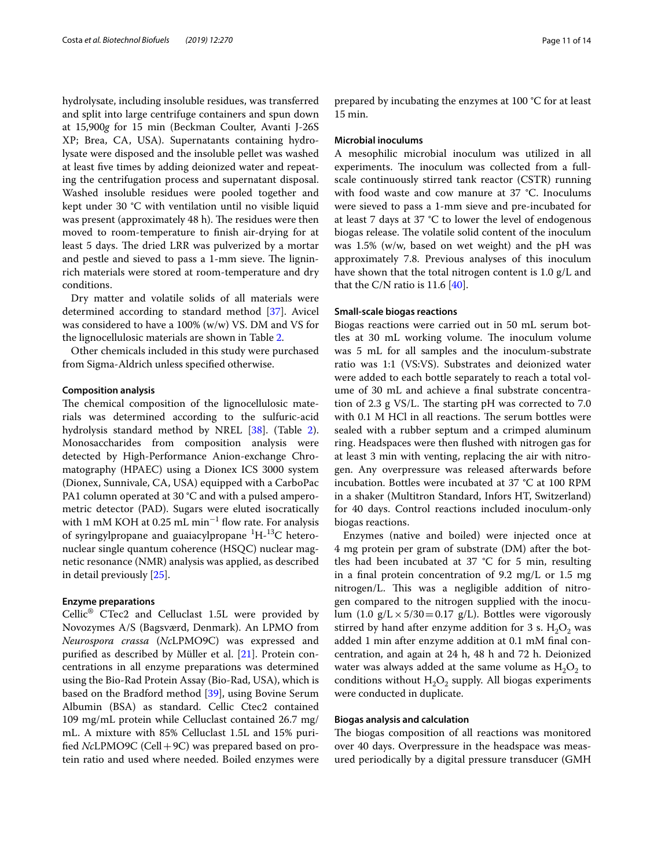hydrolysate, including insoluble residues, was transferred and split into large centrifuge containers and spun down at 15,900*g* for 15 min (Beckman Coulter, Avanti J-26S XP; Brea, CA, USA). Supernatants containing hydrolysate were disposed and the insoluble pellet was washed at least fve times by adding deionized water and repeating the centrifugation process and supernatant disposal. Washed insoluble residues were pooled together and kept under 30 °C with ventilation until no visible liquid was present (approximately 48 h). The residues were then moved to room-temperature to fnish air-drying for at least 5 days. The dried LRR was pulverized by a mortar and pestle and sieved to pass a 1-mm sieve. The ligninrich materials were stored at room-temperature and dry conditions.

Dry matter and volatile solids of all materials were determined according to standard method [[37\]](#page-13-3). Avicel was considered to have a 100% (w/w) VS. DM and VS for the lignocellulosic materials are shown in Table [2.](#page-2-1)

Other chemicals included in this study were purchased from Sigma-Aldrich unless specifed otherwise.

#### **Composition analysis**

The chemical composition of the lignocellulosic materials was determined according to the sulfuric-acid hydrolysis standard method by NREL [\[38\]](#page-13-4). (Table [2](#page-2-1)). Monosaccharides from composition analysis were detected by High-Performance Anion-exchange Chromatography (HPAEC) using a Dionex ICS 3000 system (Dionex, Sunnivale, CA, USA) equipped with a CarboPac PA1 column operated at 30 °C and with a pulsed amperometric detector (PAD). Sugars were eluted isocratically with 1 mM KOH at 0.25 mL min $^{-1}$  flow rate. For analysis of syringylpropane and guaiacylpropane  $^1\text{H-}^{13}\text{C}$  heteronuclear single quantum coherence (HSQC) nuclear magnetic resonance (NMR) analysis was applied, as described in detail previously [[25\]](#page-12-22).

#### <span id="page-10-0"></span>**Enzyme preparations**

Cellic® CTec2 and Celluclast 1.5L were provided by Novozymes A/S (Bagsværd, Denmark). An LPMO from *Neurospora crassa* (*Nc*LPMO9C) was expressed and purifed as described by Müller et al. [\[21](#page-12-17)]. Protein concentrations in all enzyme preparations was determined using the Bio-Rad Protein Assay (Bio-Rad, USA), which is based on the Bradford method [\[39](#page-13-5)], using Bovine Serum Albumin (BSA) as standard. Cellic Ctec2 contained 109 mg/mL protein while Celluclast contained 26.7 mg/ mL. A mixture with 85% Celluclast 1.5L and 15% purifed *Nc*LPMO9C (Cell+9C) was prepared based on protein ratio and used where needed. Boiled enzymes were prepared by incubating the enzymes at 100 °C for at least 15 min.

#### **Microbial inoculums**

A mesophilic microbial inoculum was utilized in all experiments. The inoculum was collected from a fullscale continuously stirred tank reactor (CSTR) running with food waste and cow manure at 37 °C. Inoculums were sieved to pass a 1-mm sieve and pre-incubated for at least 7 days at 37 °C to lower the level of endogenous biogas release. The volatile solid content of the inoculum was 1.5% (w/w, based on wet weight) and the pH was approximately 7.8. Previous analyses of this inoculum have shown that the total nitrogen content is 1.0 g/L and that the C/N ratio is 11.6  $[40]$  $[40]$ .

#### <span id="page-10-1"></span>**Small‑scale biogas reactions**

Biogas reactions were carried out in 50 mL serum bottles at 30 mL working volume. The inoculum volume was 5 mL for all samples and the inoculum-substrate ratio was 1:1 (VS:VS). Substrates and deionized water were added to each bottle separately to reach a total volume of 30 mL and achieve a fnal substrate concentration of 2.3 g  $VS/L$ . The starting pH was corrected to 7.0 with 0.1 M HCl in all reactions. The serum bottles were sealed with a rubber septum and a crimped aluminum ring. Headspaces were then fushed with nitrogen gas for at least 3 min with venting, replacing the air with nitrogen. Any overpressure was released afterwards before incubation. Bottles were incubated at 37 °C at 100 RPM in a shaker (Multitron Standard, Infors HT, Switzerland) for 40 days. Control reactions included inoculum-only biogas reactions.

Enzymes (native and boiled) were injected once at 4 mg protein per gram of substrate (DM) after the bottles had been incubated at 37 °C for 5 min, resulting in a fnal protein concentration of 9.2 mg/L or 1.5 mg nitrogen/L. This was a negligible addition of nitrogen compared to the nitrogen supplied with the inoculum (1.0  $g/L \times 5/30 = 0.17$  g/L). Bottles were vigorously stirred by hand after enzyme addition for 3 s.  $H_2O_2$  was added 1 min after enzyme addition at 0.1 mM fnal concentration, and again at 24 h, 48 h and 72 h. Deionized water was always added at the same volume as  $H_2O_2$  to conditions without  $H_2O_2$  supply. All biogas experiments were conducted in duplicate.

#### **Biogas analysis and calculation**

The biogas composition of all reactions was monitored over 40 days. Overpressure in the headspace was measured periodically by a digital pressure transducer (GMH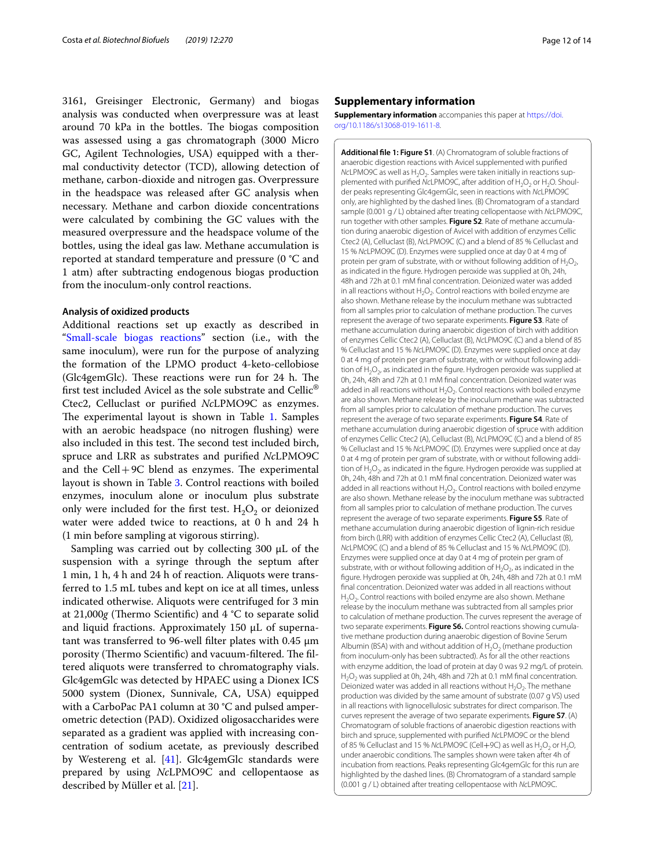3161, Greisinger Electronic, Germany) and biogas analysis was conducted when overpressure was at least around 70 kPa in the bottles. The biogas composition was assessed using a gas chromatograph (3000 Micro GC, Agilent Technologies, USA) equipped with a thermal conductivity detector (TCD), allowing detection of methane, carbon-dioxide and nitrogen gas. Overpressure in the headspace was released after GC analysis when necessary. Methane and carbon dioxide concentrations were calculated by combining the GC values with the measured overpressure and the headspace volume of the bottles, using the ideal gas law. Methane accumulation is reported at standard temperature and pressure (0 °C and 1 atm) after subtracting endogenous biogas production from the inoculum-only control reactions.

#### **Analysis of oxidized products**

Additional reactions set up exactly as described in ["Small-scale biogas reactions](#page-10-1)" section (i.e., with the same inoculum), were run for the purpose of analyzing the formation of the LPMO product 4-keto-cellobiose (Glc4gemGlc). These reactions were run for  $24$  h. The frst test included Avicel as the sole substrate and Cellic® Ctec2, Celluclast or purifed *Nc*LPMO9C as enzymes. The experimental layout is shown in Table [1](#page-2-0). Samples with an aerobic headspace (no nitrogen fushing) were also included in this test. The second test included birch, spruce and LRR as substrates and purifed *Nc*LPMO9C and the Cell $+9C$  blend as enzymes. The experimental layout is shown in Table [3](#page-9-0). Control reactions with boiled enzymes, inoculum alone or inoculum plus substrate only were included for the first test.  $H_2O_2$  or deionized water were added twice to reactions, at 0 h and 24 h (1 min before sampling at vigorous stirring).

Sampling was carried out by collecting  $300 \mu L$  of the suspension with a syringe through the septum after 1 min, 1 h, 4 h and 24 h of reaction. Aliquots were transferred to 1.5 mL tubes and kept on ice at all times, unless indicated otherwise. Aliquots were centrifuged for 3 min at  $21,000g$  (Thermo Scientific) and  $4^{\circ}$ C to separate solid and liquid fractions. Approximately  $150 \mu L$  of supernatant was transferred to 96-well filter plates with 0.45  $\mu$ m porosity (Thermo Scientific) and vacuum-filtered. The filtered aliquots were transferred to chromatography vials. Glc4gemGlc was detected by HPAEC using a Dionex ICS 5000 system (Dionex, Sunnivale, CA, USA) equipped with a CarboPac PA1 column at 30 °C and pulsed amperometric detection (PAD). Oxidized oligosaccharides were separated as a gradient was applied with increasing concentration of sodium acetate, as previously described by Westereng et al. [\[41](#page-13-7)]. Glc4gemGlc standards were prepared by using *Nc*LPMO9C and cellopentaose as described by Müller et al. [\[21](#page-12-17)].

#### **Supplementary information**

**Supplementary information** accompanies this paper at [https://doi.](https://doi.org/10.1186/s13068-019-1611-8) [org/10.1186/s13068-019-1611-8.](https://doi.org/10.1186/s13068-019-1611-8)

<span id="page-11-0"></span>**Additional fle 1: Figure S1**. (A) Chromatogram of soluble fractions of anaerobic digestion reactions with Avicel supplemented with purifed *NcLPMO9C* as well as H<sub>2</sub>O<sub>2</sub>. Samples were taken initially in reactions supplemented with purified *NcLPMO9C*, after addition of H<sub>2</sub>O<sub>2</sub> or H<sub>2</sub>O. Shoulder peaks representing Glc4gemGlc, seen in reactions with *Nc*LPMO9C only, are highlighted by the dashed lines. (B) Chromatogram of a standard sample (0.001 g / L) obtained after treating cellopentaose with *Nc*LPMO9C, run together with other samples. **Figure S2**. Rate of methane accumulation during anaerobic digestion of Avicel with addition of enzymes Cellic Ctec2 (A), Celluclast (B), *Nc*LPMO9C (C) and a blend of 85 % Celluclast and 15 % *Nc*LPMO9C (D). Enzymes were supplied once at day 0 at 4 mg of protein per gram of substrate, with or without following addition of  $H_2O_2$ , as indicated in the fgure. Hydrogen peroxide was supplied at 0h, 24h, 48h and 72h at 0.1 mM fnal concentration. Deionized water was added in all reactions without  $H_2O_2$ . Control reactions with boiled enzyme are also shown. Methane release by the inoculum methane was subtracted from all samples prior to calculation of methane production. The curves represent the average of two separate experiments. **Figure S3**. Rate of methane accumulation during anaerobic digestion of birch with addition of enzymes Cellic Ctec2 (A), Celluclast (B), *Nc*LPMO9C (C) and a blend of 85 % Celluclast and 15 % *Nc*LPMO9C (D). Enzymes were supplied once at day 0 at 4 mg of protein per gram of substrate, with or without following addition of  $H_2O_2$ , as indicated in the figure. Hydrogen peroxide was supplied at 0h, 24h, 48h and 72h at 0.1 mM fnal concentration. Deionized water was added in all reactions without  $H_2O_2$ . Control reactions with boiled enzyme are also shown. Methane release by the inoculum methane was subtracted from all samples prior to calculation of methane production. The curves represent the average of two separate experiments. **Figure S4**. Rate of methane accumulation during anaerobic digestion of spruce with addition of enzymes Cellic Ctec2 (A), Celluclast (B), *Nc*LPMO9C (C) and a blend of 85 % Celluclast and 15 % *Nc*LPMO9C (D). Enzymes were supplied once at day 0 at 4 mg of protein per gram of substrate, with or without following addition of  $H_2O_2$ , as indicated in the figure. Hydrogen peroxide was supplied at 0h, 24h, 48h and 72h at 0.1 mM fnal concentration. Deionized water was added in all reactions without  $H_2O_2$ . Control reactions with boiled enzyme are also shown. Methane release by the inoculum methane was subtracted from all samples prior to calculation of methane production. The curves represent the average of two separate experiments. **Figure S5**. Rate of methane accumulation during anaerobic digestion of lignin-rich residue from birch (LRR) with addition of enzymes Cellic Ctec2 (A), Celluclast (B), *Nc*LPMO9C (C) and a blend of 85 % Celluclast and 15 % *Nc*LPMO9C (D). Enzymes were supplied once at day 0 at 4 mg of protein per gram of substrate, with or without following addition of  $H_2O_2$ , as indicated in the fgure. Hydrogen peroxide was supplied at 0h, 24h, 48h and 72h at 0.1 mM fnal concentration. Deionized water was added in all reactions without H<sub>2</sub>O<sub>2</sub>. Control reactions with boiled enzyme are also shown. Methane release by the inoculum methane was subtracted from all samples prior to calculation of methane production. The curves represent the average of two separate experiments. **Figure S6.** Control reactions showing cumulative methane production during anaerobic digestion of Bovine Serum Albumin (BSA) with and without addition of  $H_2O_2$  (methane production from inoculum-only has been subtracted). As for all the other reactions with enzyme addition, the load of protein at day 0 was 9.2 mg/L of protein.  $H_2O_2$  was supplied at 0h, 24h, 48h and 72h at 0.1 mM final concentration. Deionized water was added in all reactions without  $H_2O_2$ . The methane production was divided by the same amount of substrate (0.07 g VS) used in all reactions with lignocellulosic substrates for direct comparison. The curves represent the average of two separate experiments. **Figure S7**. (A) Chromatogram of soluble fractions of anaerobic digestion reactions with birch and spruce, supplemented with purifed *Nc*LPMO9C or the blend of 85 % Celluclast and 15 % *NcLPMO9C* (Cell+9C) as well as H<sub>2</sub>O<sub>2</sub> or H<sub>2</sub>O, under anaerobic conditions. The samples shown were taken after 4h of incubation from reactions. Peaks representing Glc4gemGlc for this run are highlighted by the dashed lines. (B) Chromatogram of a standard sample (0.001 g / L) obtained after treating cellopentaose with *Nc*LPMO9C.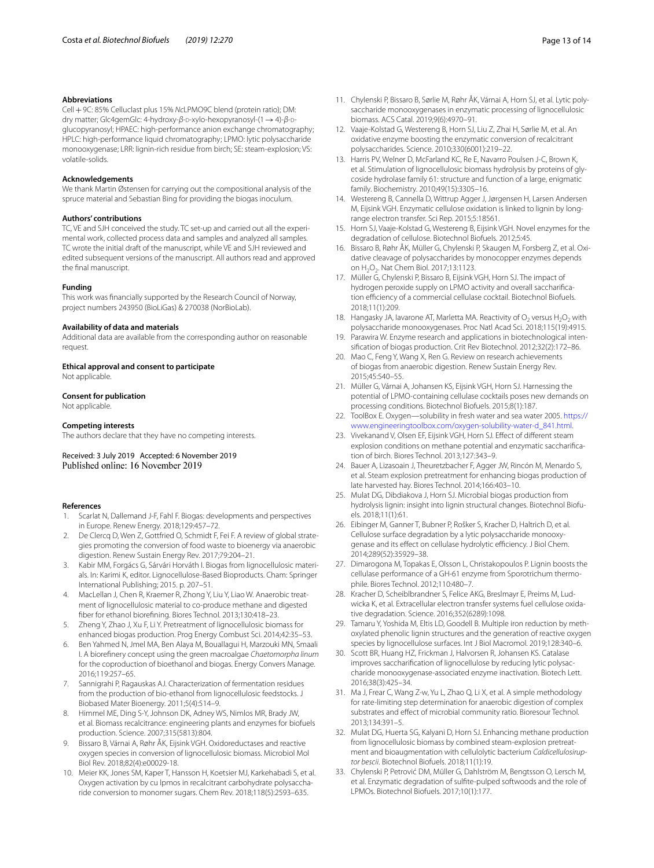#### **Abbreviations**

Cell+9C: 85% Celluclast plus 15% *Nc*LPMO9C blend (protein ratio); DM: dry matter; Glc4gemGlc: 4-hydroxy-β-D-xylo-hexopyranosyl-(1→4)-β-Dglucopyranosyl; HPAEC: high-performance anion exchange chromatography; HPLC: high-performance liquid chromatography; LPMO: lytic polysaccharide monooxygenase; LRR: lignin-rich residue from birch; SE: steam-explosion; VS: volatile-solids.

#### **Acknowledgements**

We thank Martin Østensen for carrying out the compositional analysis of the spruce material and Sebastian Bing for providing the biogas inoculum.

#### **Authors' contributions**

TC, VE and SJH conceived the study. TC set-up and carried out all the experimental work, collected process data and samples and analyzed all samples. TC wrote the initial draft of the manuscript, while VE and SJH reviewed and edited subsequent versions of the manuscript. All authors read and approved the fnal manuscript.

#### **Funding**

This work was fnancially supported by the Research Council of Norway, project numbers 243950 (BioLiGas) & 270038 (NorBioLab).

#### **Availability of data and materials**

Additional data are available from the corresponding author on reasonable request.

**Ethical approval and consent to participate** Not applicable.

#### **Consent for publication**

Not applicable.

#### **Competing interests**

The authors declare that they have no competing interests.

Received: 3 July 2019 Accepted: 6 November 2019

#### **References**

- <span id="page-12-0"></span>1. Scarlat N, Dallemand J-F, Fahl F. Biogas: developments and perspectives in Europe. Renew Energy. 2018;129:457–72.
- <span id="page-12-1"></span>2. De Clercq D, Wen Z, Gottfried O, Schmidt F, Fei F. A review of global strategies promoting the conversion of food waste to bioenergy via anaerobic digestion. Renew Sustain Energy Rev. 2017;79:204–21.
- <span id="page-12-2"></span>3. Kabir MM, Forgács G, Sárvári Horváth I. Biogas from lignocellulosic materials. In: Karimi K, editor. Lignocellulose-Based Bioproducts. Cham: Springer International Publishing; 2015. p. 207–51.
- <span id="page-12-3"></span>4. MacLellan J, Chen R, Kraemer R, Zhong Y, Liu Y, Liao W. Anaerobic treatment of lignocellulosic material to co-produce methane and digested fber for ethanol biorefning. Biores Technol. 2013;130:418–23.
- <span id="page-12-19"></span>5. Zheng Y, Zhao J, Xu F, Li Y. Pretreatment of lignocellulosic biomass for enhanced biogas production. Prog Energy Combust Sci. 2014;42:35–53.
- <span id="page-12-4"></span>6. Ben Yahmed N, Jmel MA, Ben Alaya M, Bouallagui H, Marzouki MN, Smaali I. A biorefnery concept using the green macroalgae *Chaetomorpha linum* for the coproduction of bioethanol and biogas. Energy Convers Manage. 2016;119:257–65.
- <span id="page-12-5"></span>7. Sannigrahi P, Ragauskas AJ. Characterization of fermentation residues from the production of bio-ethanol from lignocellulosic feedstocks. J Biobased Mater Bioenergy. 2011;5(4):514–9.
- <span id="page-12-6"></span>8. Himmel ME, Ding S-Y, Johnson DK, Adney WS, Nimlos MR, Brady JW, et al. Biomass recalcitrance: engineering plants and enzymes for biofuels production. Science. 2007;315(5813):804.
- <span id="page-12-7"></span>9. Bissaro B, Várnai A, Røhr ÅK, Eijsink VGH. Oxidoreductases and reactive oxygen species in conversion of lignocellulosic biomass. Microbiol Mol Biol Rev. 2018;82(4):e00029-18.
- 10. Meier KK, Jones SM, Kaper T, Hansson H, Koetsier MJ, Karkehabadi S, et al. Oxygen activation by cu lpmos in recalcitrant carbohydrate polysaccharide conversion to monomer sugars. Chem Rev. 2018;118(5):2593–635.
- <span id="page-12-8"></span>11. Chylenski P, Bissaro B, Sørlie M, Røhr ÅK, Várnai A, Horn SJ, et al. Lytic polysaccharide monooxygenases in enzymatic processing of lignocellulosic biomass. ACS Catal. 2019;9(6):4970–91.
- <span id="page-12-9"></span>12. Vaaje-Kolstad G, Westereng B, Horn SJ, Liu Z, Zhai H, Sørlie M, et al. An oxidative enzyme boosting the enzymatic conversion of recalcitrant polysaccharides. Science. 2010;330(6001):219–22.
- 13. Harris PV, Welner D, McFarland KC, Re E, Navarro Poulsen J-C, Brown K, et al. Stimulation of lignocellulosic biomass hydrolysis by proteins of glycoside hydrolase family 61: structure and function of a large, enigmatic family. Biochemistry. 2010;49(15):3305–16.
- <span id="page-12-10"></span>14. Westereng B, Cannella D, Wittrup Agger J, Jørgensen H, Larsen Andersen M, Eijsink VGH. Enzymatic cellulose oxidation is linked to lignin by longrange electron transfer. Sci Rep. 2015;5:18561.
- <span id="page-12-11"></span>15. Horn SJ, Vaaje-Kolstad G, Westereng B, Eijsink VGH. Novel enzymes for the degradation of cellulose. Biotechnol Biofuels. 2012;5:45.
- <span id="page-12-12"></span>16. Bissaro B, Røhr ÅK, Müller G, Chylenski P, Skaugen M, Forsberg Z, et al. Oxidative cleavage of polysaccharides by monocopper enzymes depends on H<sub>2</sub>O<sub>2</sub>. Nat Chem Biol. 2017;13:1123.
- <span id="page-12-13"></span>17. Müller G, Chylenski P, Bissaro B, Eijsink VGH, Horn SJ. The impact of hydrogen peroxide supply on LPMO activity and overall saccharifcation efficiency of a commercial cellulase cocktail. Biotechnol Biofuels. 2018;11(1):209.
- <span id="page-12-14"></span>18. Hangasky JA, lavarone AT, Marletta MA. Reactivity of  $O_2$  versus H<sub>2</sub>O<sub>2</sub> with polysaccharide monooxygenases. Proc Natl Acad Sci. 2018;115(19):4915.
- <span id="page-12-15"></span>19. Parawira W. Enzyme research and applications in biotechnological intensifcation of biogas production. Crit Rev Biotechnol. 2012;32(2):172–86.
- <span id="page-12-16"></span>20. Mao C, Feng Y, Wang X, Ren G. Review on research achievements of biogas from anaerobic digestion. Renew Sustain Energy Rev. 2015;45:540–55.
- <span id="page-12-17"></span>21. Müller G, Várnai A, Johansen KS, Eijsink VGH, Horn SJ. Harnessing the potential of LPMO-containing cellulase cocktails poses new demands on processing conditions. Biotechnol Biofuels. 2015;8(1):187.
- <span id="page-12-18"></span>22. ToolBox E. Oxygen—solubility in fresh water and sea water 2005. [https://](https://www.engineeringtoolbox.com/oxygen-solubility-water-d_841.html) [www.engineeringtoolbox.com/oxygen-solubility-water-d\\_841.html](https://www.engineeringtoolbox.com/oxygen-solubility-water-d_841.html).
- <span id="page-12-20"></span>23. Vivekanand V, Olsen EF, Eijsink VGH, Horn SJ. Efect of diferent steam explosion conditions on methane potential and enzymatic saccharifcation of birch. Biores Technol. 2013;127:343–9.
- <span id="page-12-21"></span>24. Bauer A, Lizasoain J, Theuretzbacher F, Agger JW, Rincón M, Menardo S, et al. Steam explosion pretreatment for enhancing biogas production of late harvested hay. Biores Technol. 2014;166:403–10.
- <span id="page-12-22"></span>25. Mulat DG, Dibdiakova J, Horn SJ. Microbial biogas production from hydrolysis lignin: insight into lignin structural changes. Biotechnol Biofuels. 2018;11(1):61.
- <span id="page-12-23"></span>26. Eibinger M, Ganner T, Bubner P, Rošker S, Kracher D, Haltrich D, et al. Cellulose surface degradation by a lytic polysaccharide monooxygenase and its effect on cellulase hydrolytic efficiency. J Biol Chem. 2014;289(52):35929–38.
- <span id="page-12-24"></span>27. Dimarogona M, Topakas E, Olsson L, Christakopoulos P. Lignin boosts the cellulase performance of a GH-61 enzyme from Sporotrichum thermophile. Biores Technol. 2012;110:480–7.
- <span id="page-12-25"></span>28. Kracher D, Scheiblbrandner S, Felice AKG, Breslmayr E, Preims M, Ludwicka K, et al. Extracellular electron transfer systems fuel cellulose oxidative degradation. Science. 2016;352(6289):1098.
- <span id="page-12-26"></span>29. Tamaru Y, Yoshida M, Eltis LD, Goodell B. Multiple iron reduction by methoxylated phenolic lignin structures and the generation of reactive oxygen species by lignocellulose surfaces. Int J Biol Macromol. 2019;128:340–6.
- <span id="page-12-27"></span>30. Scott BR, Huang HZ, Frickman J, Halvorsen R, Johansen KS. Catalase improves saccharifcation of lignocellulose by reducing lytic polysaccharide monooxygenase-associated enzyme inactivation. Biotech Lett. 2016;38(3):425–34.
- <span id="page-12-28"></span>31. Ma J, Frear C, Wang Z-w, Yu L, Zhao Q, Li X, et al. A simple methodology for rate-limiting step determination for anaerobic digestion of complex substrates and effect of microbial community ratio. Bioresour Technol. 2013;134:391–5.
- <span id="page-12-29"></span>32. Mulat DG, Huerta SG, Kalyani D, Horn SJ. Enhancing methane production from lignocellulosic biomass by combined steam-explosion pretreatment and bioaugmentation with cellulolytic bacterium *Caldicellulosiruptor bescii*. Biotechnol Biofuels. 2018;11(1):19.
- <span id="page-12-30"></span>33. Chylenski P, Petrović DM, Müller G, Dahlström M, Bengtsson O, Lersch M, et al. Enzymatic degradation of sulfte-pulped softwoods and the role of LPMOs. Biotechnol Biofuels. 2017;10(1):177.